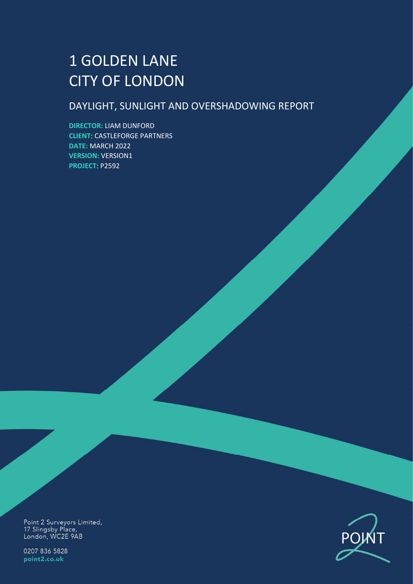# 1 GOLDEN LANE CITY OF LONDON

## DAYLIGHT, SUNLIGHT AND OVERSHADOWING REPORT

**DIRECTOR:** LIAM DUNFORD **CLIENT**: CASTLEFORGE PARTNERS **DATE:** MARCH 2022 **VERSION:** VERSION1 **PROJECT**: P2592

Point 2 Surveyors Limited,<br>17 Slingsby Place,<br>London, WC2E 9AB

0207 836 5828 point2.co.uk

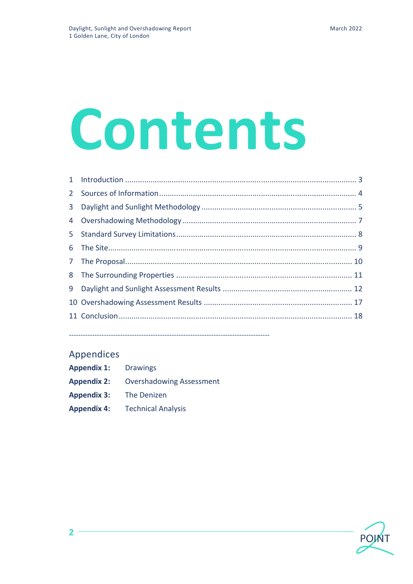# Contents

## Appendices

 $\overline{2}$ 

| <b>Appendix 1:</b> | <b>Drawings</b>                 |
|--------------------|---------------------------------|
| <b>Appendix 2:</b> | <b>Overshadowing Assessment</b> |
| <b>Appendix 3:</b> | The Denizen                     |
| <b>Appendix 4:</b> | <b>Technical Analysis</b>       |

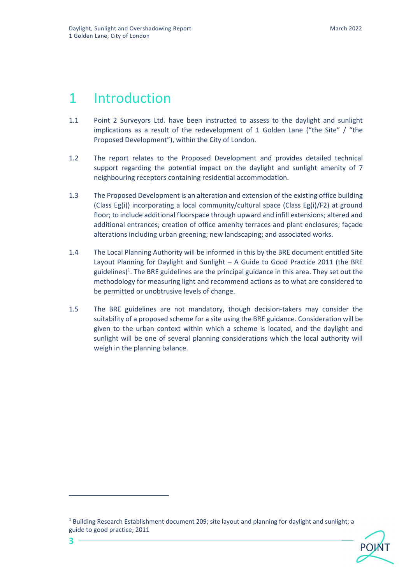## 1 Introduction

**3**

- 1.1 Point 2 Surveyors Ltd. have been instructed to assess to the daylight and sunlight implications as a result of the redevelopment of 1 Golden Lane ("the Site" / "the Proposed Development"), within the City of London.
- 1.2 The report relates to the Proposed Development and provides detailed technical support regarding the potential impact on the daylight and sunlight amenity of 7 neighbouring receptors containing residential accommodation.
- 1.3 The Proposed Development is an alteration and extension of the existing office building (Class Eg(i)) incorporating a local community/cultural space (Class Eg(i)/F2) at ground floor; to include additional floorspace through upward and infill extensions; altered and additional entrances; creation of office amenity terraces and plant enclosures; façade alterations including urban greening; new landscaping; and associated works.
- 1.4 The Local Planning Authority will be informed in this by the BRE document entitled Site Layout Planning for Daylight and Sunlight – A Guide to Good Practice 2011 (the BRE guidelines)<sup>1</sup>. The BRE guidelines are the principal guidance in this area. They set out the methodology for measuring light and recommend actions as to what are considered to be permitted or unobtrusive levels of change.
- 1.5 The BRE guidelines are not mandatory, though decision-takers may consider the suitability of a proposed scheme for a site using the BRE guidance. Consideration will be given to the urban context within which a scheme is located, and the daylight and sunlight will be one of several planning considerations which the local authority will weigh in the planning balance.



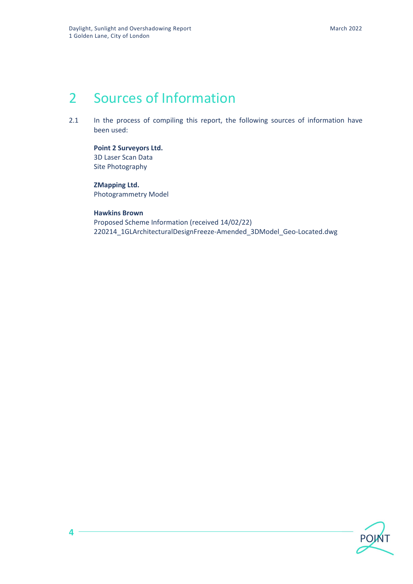## 2 Sources of Information

2.1 In the process of compiling this report, the following sources of information have been used:

**Point 2 Surveyors Ltd.**  3D Laser Scan Data Site Photography

## **ZMapping Ltd.**

Photogrammetry Model

## **Hawkins Brown**

Proposed Scheme Information (received 14/02/22) 220214\_1GLArchitecturalDesignFreeze-Amended\_3DModel\_Geo-Located.dwg



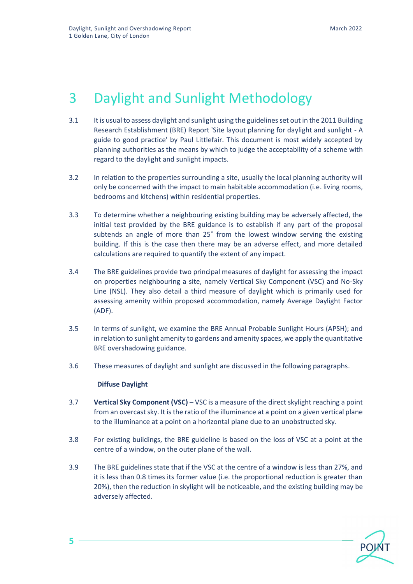## 3 Daylight and Sunlight Methodology

- 3.1 It is usual to assess daylight and sunlight using the guidelines set out in the 2011 Building Research Establishment (BRE) Report 'Site layout planning for daylight and sunlight - A guide to good practice' by Paul Littlefair. This document is most widely accepted by planning authorities as the means by which to judge the acceptability of a scheme with regard to the daylight and sunlight impacts.
- 3.2 In relation to the properties surrounding a site, usually the local planning authority will only be concerned with the impact to main habitable accommodation (i.e. living rooms, bedrooms and kitchens) within residential properties.
- 3.3 To determine whether a neighbouring existing building may be adversely affected, the initial test provided by the BRE guidance is to establish if any part of the proposal subtends an angle of more than 25˚ from the lowest window serving the existing building. If this is the case then there may be an adverse effect, and more detailed calculations are required to quantify the extent of any impact.
- 3.4 The BRE guidelines provide two principal measures of daylight for assessing the impact on properties neighbouring a site, namely Vertical Sky Component (VSC) and No-Sky Line (NSL). They also detail a third measure of daylight which is primarily used for assessing amenity within proposed accommodation, namely Average Daylight Factor (ADF).
- 3.5 In terms of sunlight, we examine the BRE Annual Probable Sunlight Hours (APSH); and in relation to sunlight amenity to gardens and amenity spaces, we apply the quantitative BRE overshadowing guidance.
- 3.6 These measures of daylight and sunlight are discussed in the following paragraphs.

### **Diffuse Daylight**

- 3.7 **Vertical Sky Component (VSC)** VSC is a measure of the direct skylight reaching a point from an overcast sky. It is the ratio of the illuminance at a point on a given vertical plane to the illuminance at a point on a horizontal plane due to an unobstructed sky.
- 3.8 For existing buildings, the BRE guideline is based on the loss of VSC at a point at the centre of a window, on the outer plane of the wall.
- 3.9 The BRE guidelines state that if the VSC at the centre of a window is less than 27%, and it is less than 0.8 times its former value (i.e. the proportional reduction is greater than 20%), then the reduction in skylight will be noticeable, and the existing building may be adversely affected.



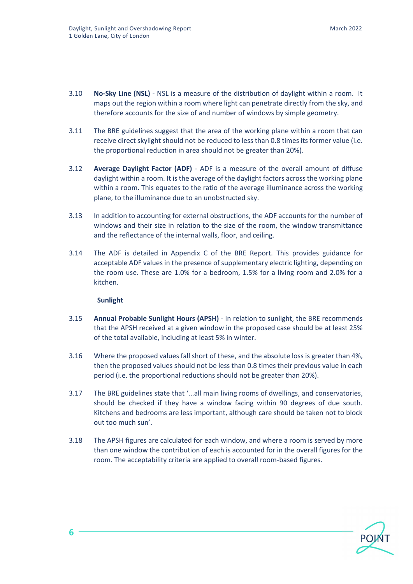- 3.10 **No-Sky Line (NSL)** NSL is a measure of the distribution of daylight within a room. It maps out the region within a room where light can penetrate directly from the sky, and therefore accounts for the size of and number of windows by simple geometry.
- 3.11 The BRE guidelines suggest that the area of the working plane within a room that can receive direct skylight should not be reduced to less than 0.8 times its former value (i.e. the proportional reduction in area should not be greater than 20%).
- 3.12 **Average Daylight Factor (ADF)** ADF is a measure of the overall amount of diffuse daylight within a room. It is the average of the daylight factors across the working plane within a room. This equates to the ratio of the average illuminance across the working plane, to the illuminance due to an unobstructed sky.
- 3.13 In addition to accounting for external obstructions, the ADF accounts for the number of windows and their size in relation to the size of the room, the window transmittance and the reflectance of the internal walls, floor, and ceiling.
- 3.14 The ADF is detailed in Appendix C of the BRE Report. This provides guidance for acceptable ADF values in the presence of supplementary electric lighting, depending on the room use. These are 1.0% for a bedroom, 1.5% for a living room and 2.0% for a kitchen.

### **Sunlight**

- 3.15 **Annual Probable Sunlight Hours (APSH)** In relation to sunlight, the BRE recommends that the APSH received at a given window in the proposed case should be at least 25% of the total available, including at least 5% in winter.
- 3.16 Where the proposed values fall short of these, and the absolute loss is greater than 4%, then the proposed values should not be less than 0.8 times their previous value in each period (i.e. the proportional reductions should not be greater than 20%).
- 3.17 The BRE guidelines state that '...all main living rooms of dwellings, and conservatories, should be checked if they have a window facing within 90 degrees of due south. Kitchens and bedrooms are less important, although care should be taken not to block out too much sun'.
- 3.18 The APSH figures are calculated for each window, and where a room is served by more than one window the contribution of each is accounted for in the overall figures for the room. The acceptability criteria are applied to overall room-based figures.



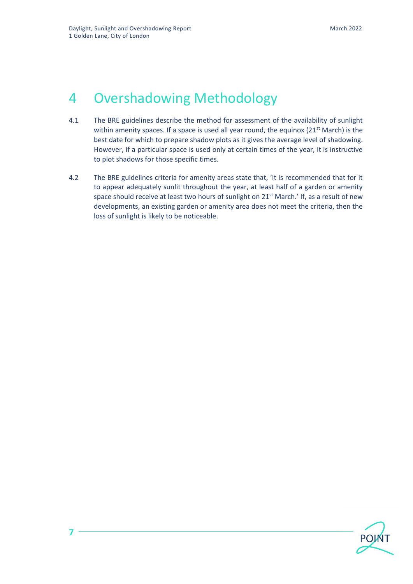## 4 Overshadowing Methodology

- 4.1 The BRE guidelines describe the method for assessment of the availability of sunlight within amenity spaces. If a space is used all year round, the equinox  $(21<sup>st</sup> March)$  is the best date for which to prepare shadow plots as it gives the average level of shadowing. However, if a particular space is used only at certain times of the year, it is instructive to plot shadows for those specific times.
- 4.2 The BRE guidelines criteria for amenity areas state that, 'It is recommended that for it to appear adequately sunlit throughout the year, at least half of a garden or amenity space should receive at least two hours of sunlight on 21<sup>st</sup> March.' If, as a result of new developments, an existing garden or amenity area does not meet the criteria, then the loss of sunlight is likely to be noticeable.

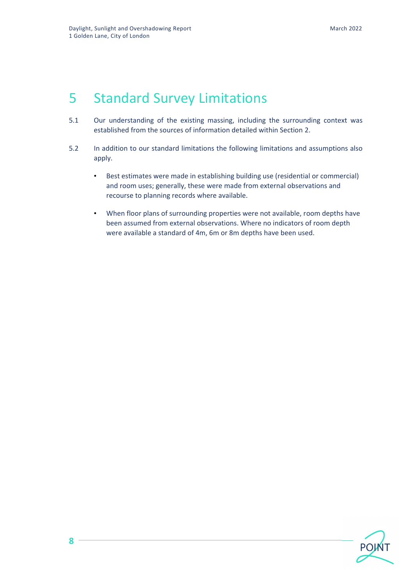## 5 Standard Survey Limitations

- 5.1 Our understanding of the existing massing, including the surrounding context was established from the sources of information detailed within Section 2.
- 5.2 In addition to our standard limitations the following limitations and assumptions also apply.
	- Best estimates were made in establishing building use (residential or commercial) and room uses; generally, these were made from external observations and recourse to planning records where available.
	- When floor plans of surrounding properties were not available, room depths have been assumed from external observations. Where no indicators of room depth were available a standard of 4m, 6m or 8m depths have been used.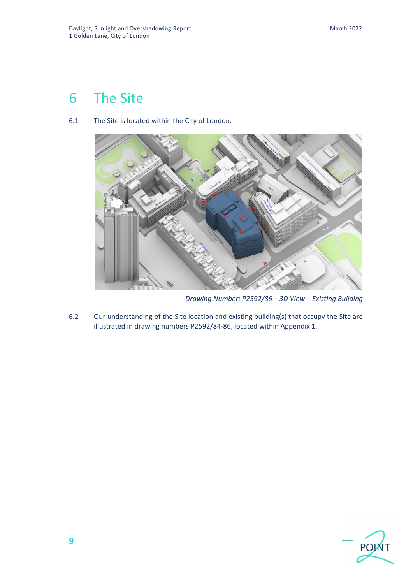## 6 The Site

**9**



6.1 The Site is located within the City of London.

*Drawing Number: P2592/86 – 3D View – Existing Building*

6.2 Our understanding of the Site location and existing building(s) that occupy the Site are illustrated in drawing numbers P2592/84-86, located within Appendix 1.

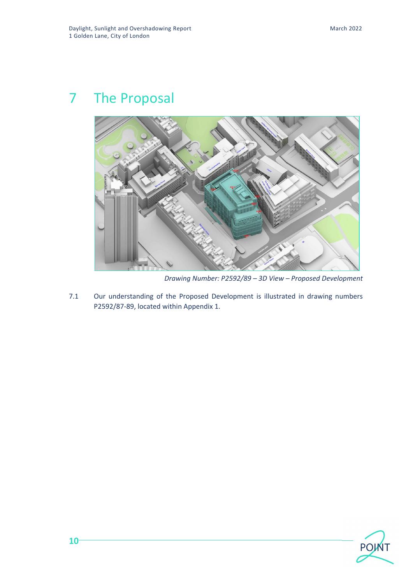## 7 The Proposal



*Drawing Number: P2592/89 – 3D View – Proposed Development*

7.1 Our understanding of the Proposed Development is illustrated in drawing numbers P2592/87-89, located within Appendix 1.

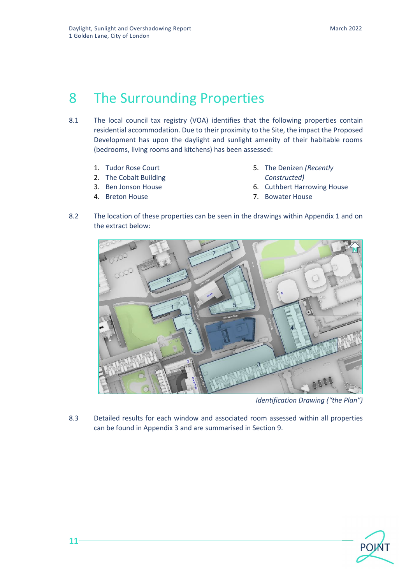## 8 The Surrounding Properties

- 8.1 The local council tax registry (VOA) identifies that the following properties contain residential accommodation. Due to their proximity to the Site, the impact the Proposed Development has upon the daylight and sunlight amenity of their habitable rooms (bedrooms, living rooms and kitchens) has been assessed:
	- 1. Tudor Rose Court
	- 2. The Cobalt Building
	- 3. Ben Jonson House
	- 4. Breton House
- 5. The Denizen *(Recently Constructed)*
- 6. Cuthbert Harrowing House
- 7. Bowater House
- 8.2 The location of these properties can be seen in the drawings within Appendix 1 and on the extract below:



*Identification Drawing ("the Plan")*

8.3 Detailed results for each window and associated room assessed within all properties can be found in Appendix 3 and are summarised in Section 9.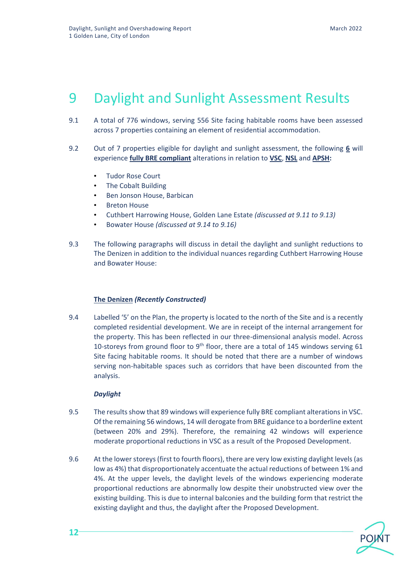## 9 Daylight and Sunlight Assessment Results

- 9.1 A total of 776 windows, serving 556 Site facing habitable rooms have been assessed across 7 properties containing an element of residential accommodation.
- 9.2 Out of 7 properties eligible for daylight and sunlight assessment, the following **6** will experience **fully BRE compliant** alterations in relation to **VSC**, **NSL** and **APSH:**
	- Tudor Rose Court
	- The Cobalt Building
	- Ben Jonson House, Barbican
	- Breton House
	- Cuthbert Harrowing House, Golden Lane Estate *(discussed at 9.11 to 9.13)*
	- Bowater House *(discussed at 9.14 to 9.16)*
- 9.3 The following paragraphs will discuss in detail the daylight and sunlight reductions to The Denizen in addition to the individual nuances regarding Cuthbert Harrowing House and Bowater House:

#### **The Denizen** *(Recently Constructed)*

9.4 Labelled '5' on the Plan, the property is located to the north of the Site and is a recently completed residential development. We are in receipt of the internal arrangement for the property. This has been reflected in our three-dimensional analysis model. Across 10-storeys from ground floor to 9<sup>th</sup> floor, there are a total of 145 windows serving 61 Site facing habitable rooms. It should be noted that there are a number of windows serving non-habitable spaces such as corridors that have been discounted from the analysis.

#### *Daylight*

- 9.5 The results show that 89 windows will experience fully BRE compliant alterations in VSC. Of the remaining 56 windows, 14 will derogate from BRE guidance to a borderline extent (between 20% and 29%). Therefore, the remaining 42 windows will experience moderate proportional reductions in VSC as a result of the Proposed Development.
- 9.6 At the lower storeys (first to fourth floors), there are very low existing daylight levels (as low as 4%) that disproportionately accentuate the actual reductions of between 1% and 4%. At the upper levels, the daylight levels of the windows experiencing moderate proportional reductions are abnormally low despite their unobstructed view over the existing building. This is due to internal balconies and the building form that restrict the existing daylight and thus, the daylight after the Proposed Development.

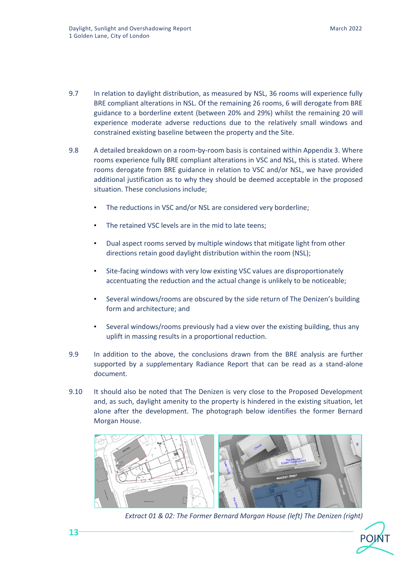- 9.7 In relation to daylight distribution, as measured by NSL, 36 rooms will experience fully BRE compliant alterations in NSL. Of the remaining 26 rooms, 6 will derogate from BRE guidance to a borderline extent (between 20% and 29%) whilst the remaining 20 will experience moderate adverse reductions due to the relatively small windows and constrained existing baseline between the property and the Site.
- 9.8 A detailed breakdown on a room-by-room basis is contained within Appendix 3. Where rooms experience fully BRE compliant alterations in VSC and NSL, this is stated. Where rooms derogate from BRE guidance in relation to VSC and/or NSL, we have provided additional justification as to why they should be deemed acceptable in the proposed situation. These conclusions include;
	- The reductions in VSC and/or NSL are considered very borderline;
	- The retained VSC levels are in the mid to late teens;
	- Dual aspect rooms served by multiple windows that mitigate light from other directions retain good daylight distribution within the room (NSL);
	- Site-facing windows with very low existing VSC values are disproportionately accentuating the reduction and the actual change is unlikely to be noticeable;
	- Several windows/rooms are obscured by the side return of The Denizen's building form and architecture; and
	- Several windows/rooms previously had a view over the existing building, thus any uplift in massing results in a proportional reduction.
- 9.9 In addition to the above, the conclusions drawn from the BRE analysis are further supported by a supplementary Radiance Report that can be read as a stand-alone document.
- 9.10 It should also be noted that The Denizen is very close to the Proposed Development and, as such, daylight amenity to the property is hindered in the existing situation, let alone after the development. The photograph below identifies the former Bernard Morgan House.



*Extract 01 & 02: The Former Bernard Morgan House (left) The Denizen (right)*

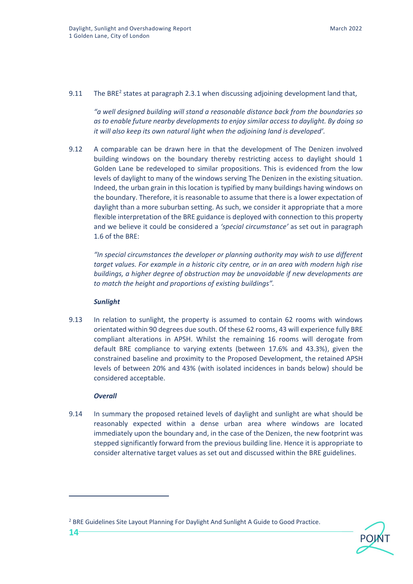#### 9.11 The BRE<sup>2</sup> states at paragraph 2.3.1 when discussing adjoining development land that,

*"a well designed building will stand a reasonable distance back from the boundaries so as to enable future nearby developments to enjoy similar access to daylight. By doing so it will also keep its own natural light when the adjoining land is developed'.*

9.12 A comparable can be drawn here in that the development of The Denizen involved building windows on the boundary thereby restricting access to daylight should 1 Golden Lane be redeveloped to similar propositions. This is evidenced from the low levels of daylight to many of the windows serving The Denizen in the existing situation. Indeed, the urban grain in this location is typified by many buildings having windows on the boundary. Therefore, it is reasonable to assume that there is a lower expectation of daylight than a more suburban setting. As such, we consider it appropriate that a more flexible interpretation of the BRE guidance is deployed with connection to this property and we believe it could be considered a *'special circumstance'* as set out in paragraph 1.6 of the BRE:

*"In special circumstances the developer or planning authority may wish to use different target values. For example in a historic city centre, or in an area with modern high rise buildings, a higher degree of obstruction may be unavoidable if new developments are to match the height and proportions of existing buildings".*

### *Sunlight*

9.13 In relation to sunlight, the property is assumed to contain 62 rooms with windows orientated within 90 degrees due south. Of these 62 rooms, 43 will experience fully BRE compliant alterations in APSH. Whilst the remaining 16 rooms will derogate from default BRE compliance to varying extents (between 17.6% and 43.3%), given the constrained baseline and proximity to the Proposed Development, the retained APSH levels of between 20% and 43% (with isolated incidences in bands below) should be considered acceptable.

### *Overall*

9.14 In summary the proposed retained levels of daylight and sunlight are what should be reasonably expected within a dense urban area where windows are located immediately upon the boundary and, in the case of the Denizen, the new footprint was stepped significantly forward from the previous building line. Hence it is appropriate to consider alternative target values as set out and discussed within the BRE guidelines.

<sup>2</sup> BRE Guidelines Site Layout Planning For Daylight And Sunlight A Guide to Good Practice.

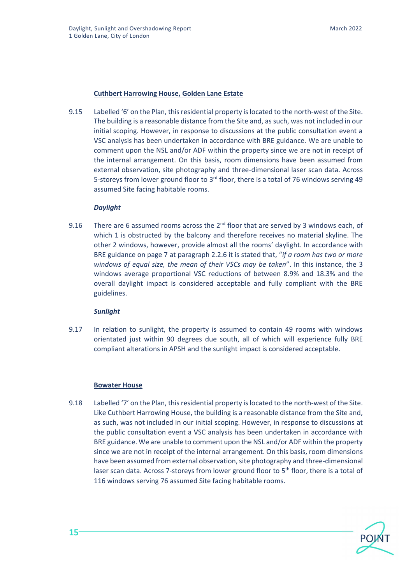#### **Cuthbert Harrowing House, Golden Lane Estate**

9.15 Labelled '6' on the Plan, this residential property is located to the north-west of the Site. The building is a reasonable distance from the Site and, as such, was not included in our initial scoping. However, in response to discussions at the public consultation event a VSC analysis has been undertaken in accordance with BRE guidance. We are unable to comment upon the NSL and/or ADF within the property since we are not in receipt of the internal arrangement. On this basis, room dimensions have been assumed from external observation, site photography and three-dimensional laser scan data. Across 5-storeys from lower ground floor to  $3<sup>rd</sup>$  floor, there is a total of 76 windows serving 49 assumed Site facing habitable rooms.

#### *Daylight*

9.16 There are 6 assumed rooms across the  $2<sup>nd</sup>$  floor that are served by 3 windows each, of which 1 is obstructed by the balcony and therefore receives no material skyline. The other 2 windows, however, provide almost all the rooms' daylight. In accordance with BRE guidance on page 7 at paragraph 2.2.6 it is stated that, "*if a room has two or more windows of equal size, the mean of their VSCs may be taken*". In this instance, the 3 windows average proportional VSC reductions of between 8.9% and 18.3% and the overall daylight impact is considered acceptable and fully compliant with the BRE guidelines.

#### *Sunlight*

9.17 In relation to sunlight, the property is assumed to contain 49 rooms with windows orientated just within 90 degrees due south, all of which will experience fully BRE compliant alterations in APSH and the sunlight impact is considered acceptable.

#### **Bowater House**

9.18 Labelled '7' on the Plan, this residential property is located to the north-west of the Site. Like Cuthbert Harrowing House, the building is a reasonable distance from the Site and, as such, was not included in our initial scoping. However, in response to discussions at the public consultation event a VSC analysis has been undertaken in accordance with BRE guidance. We are unable to comment upon the NSL and/or ADF within the property since we are not in receipt of the internal arrangement. On this basis, room dimensions have been assumed from external observation, site photography and three-dimensional laser scan data. Across 7-storeys from lower ground floor to 5<sup>th</sup> floor, there is a total of 116 windows serving 76 assumed Site facing habitable rooms.

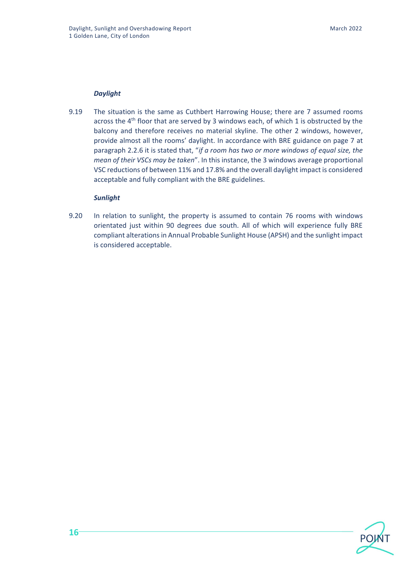#### *Daylight*

9.19 The situation is the same as Cuthbert Harrowing House; there are 7 assumed rooms across the  $4<sup>th</sup>$  floor that are served by 3 windows each, of which 1 is obstructed by the balcony and therefore receives no material skyline. The other 2 windows, however, provide almost all the rooms' daylight. In accordance with BRE guidance on page 7 at paragraph 2.2.6 it is stated that, "*if a room has two or more windows of equal size, the mean of their VSCs may be taken*". In this instance, the 3 windows average proportional VSC reductions of between 11% and 17.8% and the overall daylight impact is considered acceptable and fully compliant with the BRE guidelines.

#### *Sunlight*

9.20 In relation to sunlight, the property is assumed to contain 76 rooms with windows orientated just within 90 degrees due south. All of which will experience fully BRE compliant alterations in Annual Probable Sunlight House (APSH) and the sunlight impact is considered acceptable.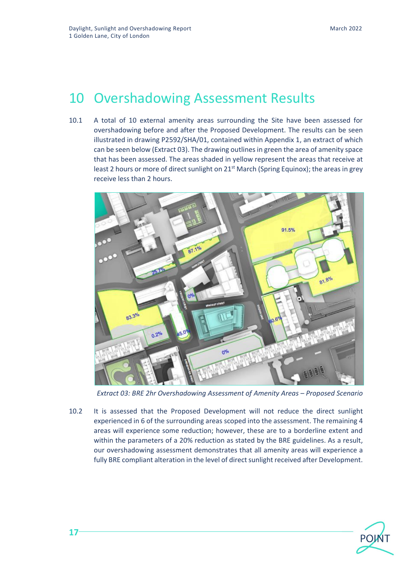## 10 Overshadowing Assessment Results

10.1 A total of 10 external amenity areas surrounding the Site have been assessed for overshadowing before and after the Proposed Development. The results can be seen illustrated in drawing P2592/SHA/01, contained within Appendix 1, an extract of which can be seen below (Extract 03). The drawing outlines in green the area of amenity space that has been assessed. The areas shaded in yellow represent the areas that receive at least 2 hours or more of direct sunlight on  $21<sup>st</sup>$  March (Spring Equinox); the areas in grey receive less than 2 hours.



*Extract 03: BRE 2hr Overshadowing Assessment of Amenity Areas – Proposed Scenario*

10.2 It is assessed that the Proposed Development will not reduce the direct sunlight experienced in 6 of the surrounding areas scoped into the assessment. The remaining 4 areas will experience some reduction; however, these are to a borderline extent and within the parameters of a 20% reduction as stated by the BRE guidelines. As a result, our overshadowing assessment demonstrates that all amenity areas will experience a fully BRE compliant alteration in the level of direct sunlight received after Development.